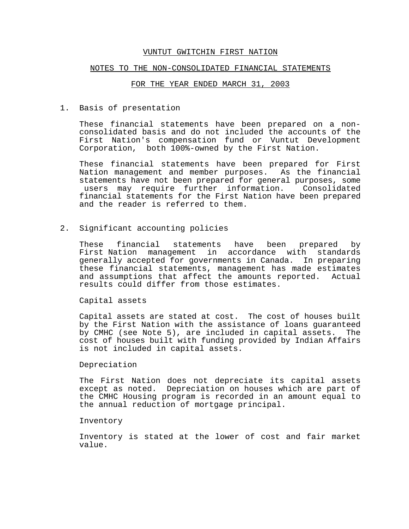#### NOTES TO THE NON-CONSOLIDATED FINANCIAL STATEMENTS

#### FOR THE YEAR ENDED MARCH 31, 2003

1. Basis of presentation

These financial statements have been prepared on a nonconsolidated basis and do not included the accounts of the First Nation's compensation fund or Vuntut Development Corporation, both  $100$ %-owned by the First Nation.

These financial statements have been prepared for First Nation management and member purposes. As the financial statements have not been prepared for general purposes, some users may require further information. Consolidated financial statements for the First Nation have been prepared and the reader is referred to them.

2. Significant accounting policies

These financial statements have been prepared by First Nation management in accordance with standards generally accepted for governments in Canada. In preparing these financial statements, management has made estimates and assumptions that affect the amounts reported. Actual results could differ from those estimates.

Capital assets

Capital assets are stated at cost. The cost of houses built by the First Nation with the assistance of loans guaranteed by CMHC (see Note 5), are included in capital assets. The cost of houses built with funding provided by Indian Affairs is not included in capital assets.

#### Depreciation

The First Nation does not depreciate its capital assets except as noted. Depreciation on houses which are part of the CMHC Housing program is recorded in an amount equal to the annual reduction of mortgage principal.

#### Inventory

Inventory is stated at the lower of cost and fair market value.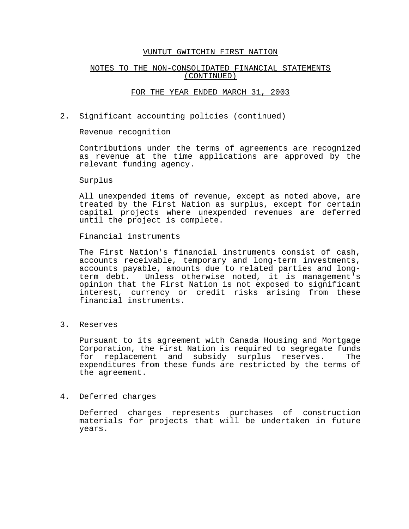## NOTES TO THE NON-CONSOLIDATED FINANCIAL STATEMENTS (CONTINUED)

#### FOR THE YEAR ENDED MARCH 31, 2003

2. Significant accounting policies (continued)

Revenue recognition

Contributions under the terms of agreements are recognized as revenue at the time applications are approved by the relevant funding agency.

Surplus

All unexpended items of revenue, except as noted above, are treated by the First Nation as surplus, except for certain capital projects where unexpended revenues are deferred until the project is complete.

Financial instruments

The First Nation's financial instruments consist of cash, accounts receivable, temporary and long-term investments, accounts payable, amounts due to related parties and longterm debt. Unless otherwise noted, it is management's opinion that the First Nation is not exposed to significant interest, currency or credit risks arising from these financial instruments.

3. Reserves

Pursuant to its agreement with Canada Housing and Mortgage Corporation, the First Nation is required to segregate funds for replacement and subsidy surplus reserves. The expenditures from these funds are restricted by the terms of the agreement.

### 4. Deferred charges

Deferred charges represents purchases of construction materials for projects that will be undertaken in future years.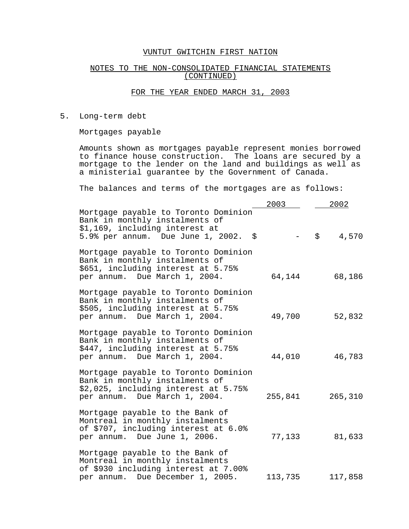#### NOTES TO THE NON-CONSOLIDATED FINANCIAL STATEMENTS (CONTINUED)

#### FOR THE YEAR ENDED MARCH 31, 2003

5. Long-term debt

Mortgages payable

Amounts shown as mortgages payable represent monies borrowed to finance house construction. The loans are secured by a mortgage to the lender on the land and buildings as well as a ministerial guarantee by the Government of Canada.

The balances and terms of the mortgages are as follows:

|                                                                                                                                                  | 2003    | 2002        |
|--------------------------------------------------------------------------------------------------------------------------------------------------|---------|-------------|
| Mortgage payable to Toronto Dominion<br>Bank in monthly instalments of<br>\$1,169, including interest at<br>5.9% per annum. Due June 1, 2002. \$ |         | \$<br>4,570 |
| Mortgage payable to Toronto Dominion<br>Bank in monthly instalments of<br>\$651, including interest at 5.75%<br>per annum. Due March 1, 2004.    | 64,144  | 68,186      |
| Mortgage payable to Toronto Dominion<br>Bank in monthly instalments of<br>\$505, including interest at 5.75%<br>per annum. Due March 1, 2004.    | 49,700  | 52,832      |
| Mortgage payable to Toronto Dominion<br>Bank in monthly instalments of<br>\$447, including interest at 5.75%<br>per annum. Due March 1, 2004.    | 44,010  | 46,783      |
| Mortgage payable to Toronto Dominion<br>Bank in monthly instalments of<br>\$2,025, including interest at 5.75%<br>per annum. Due March 1, 2004.  | 255,841 | 265,310     |
| Mortgage payable to the Bank of<br>Montreal in monthly instalments<br>of \$707, including interest at 6.0%<br>per annum. Due June 1, 2006.       | 77,133  | 81,633      |
| Mortgage payable to the Bank of<br>Montreal in monthly instalments<br>of \$930 including interest at 7.00%<br>per annum. Due December 1, 2005.   | 113,735 | 117,858     |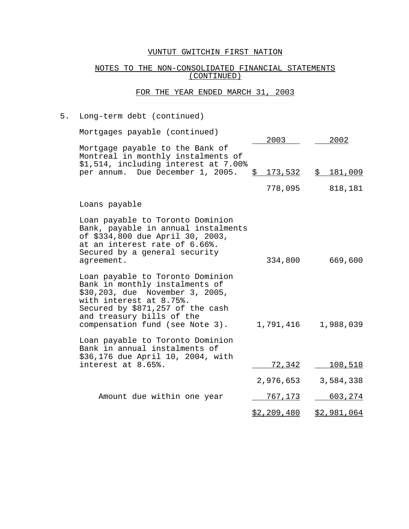## NOTES TO THE NON-CONSOLIDATED FINANCIAL STATEMENTS (CONTINUED)

## FOR THE YEAR ENDED MARCH 31, 2003

# 5. Long-term debt (continued)

| Mortgages payable (continued)                                                                                                                                                                                                        | 2003               | 2002           |
|--------------------------------------------------------------------------------------------------------------------------------------------------------------------------------------------------------------------------------------|--------------------|----------------|
| Mortgage payable to the Bank of<br>Montreal in monthly instalments of<br>\$1,514, including interest at 7.00%<br>per annum. Due December 1, 2005.                                                                                    | \$                 |                |
|                                                                                                                                                                                                                                      | 778,095            | 818,181        |
| Loans payable                                                                                                                                                                                                                        |                    |                |
| Loan payable to Toronto Dominion<br>Bank, payable in annual instalments<br>of \$334,800 due April 30, 2003,<br>at an interest rate of 6.66%.<br>Secured by a general security<br>agreement.                                          | 334,800            | 669,600        |
| Loan payable to Toronto Dominion<br>Bank in monthly instalments of<br>\$30,203, due November 3, 2005,<br>with interest at 8.75%.<br>Secured by \$871,257 of the cash<br>and treasury bills of the<br>compensation fund (see Note 3). | 1,791,416          | 1,988,039      |
| Loan payable to Toronto Dominion<br>Bank in annual instalments of<br>\$36,176 due April 10, 2004, with<br>interest at 8.65%.                                                                                                         | <u>72,34</u> 2     | <u>108,518</u> |
|                                                                                                                                                                                                                                      | 2,976,653          | 3,584,338      |
| Amount due within one year                                                                                                                                                                                                           | <u>767,173</u>     | 603, 274       |
|                                                                                                                                                                                                                                      | <u>\$2,209,480</u> | \$2,981,064    |